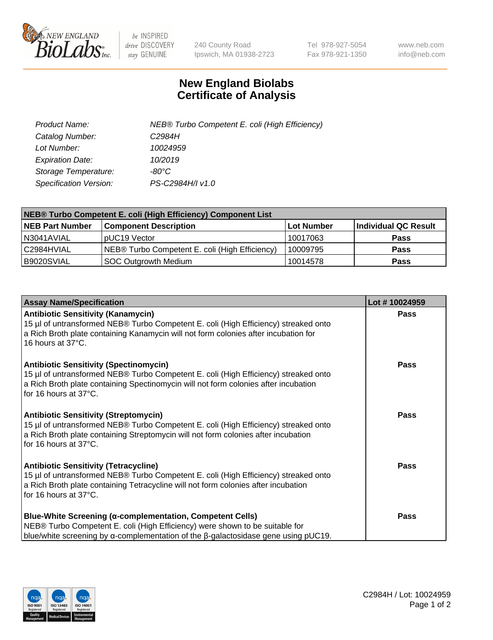

 $be$  INSPIRED drive DISCOVERY stay GENUINE

240 County Road Ipswich, MA 01938-2723 Tel 978-927-5054 Fax 978-921-1350 www.neb.com info@neb.com

## **New England Biolabs Certificate of Analysis**

| Product Name:           | NEB® Turbo Competent E. coli (High Efficiency) |
|-------------------------|------------------------------------------------|
| Catalog Number:         | C <sub>2984</sub> H                            |
| Lot Number:             | 10024959                                       |
| <b>Expiration Date:</b> | 10/2019                                        |
| Storage Temperature:    | -80°C                                          |
| Specification Version:  | PS-C2984H/I v1.0                               |

| <b>NEB® Turbo Competent E. coli (High Efficiency) Component List</b> |                                                |            |                      |  |
|----------------------------------------------------------------------|------------------------------------------------|------------|----------------------|--|
| <b>NEB Part Number</b>                                               | <b>Component Description</b>                   | Lot Number | Individual QC Result |  |
| N3041AVIAL                                                           | pUC19 Vector                                   | 10017063   | <b>Pass</b>          |  |
| C2984HVIAL                                                           | NEB® Turbo Competent E. coli (High Efficiency) | 10009795   | <b>Pass</b>          |  |
| B9020SVIAL                                                           | <b>SOC Outgrowth Medium</b>                    | 10014578   | <b>Pass</b>          |  |

| <b>Assay Name/Specification</b>                                                                                                                                                                                                                       | Lot #10024959 |
|-------------------------------------------------------------------------------------------------------------------------------------------------------------------------------------------------------------------------------------------------------|---------------|
| <b>Antibiotic Sensitivity (Kanamycin)</b><br>15 µl of untransformed NEB® Turbo Competent E. coli (High Efficiency) streaked onto<br>a Rich Broth plate containing Kanamycin will not form colonies after incubation for<br>16 hours at 37°C.          | <b>Pass</b>   |
| <b>Antibiotic Sensitivity (Spectinomycin)</b><br>15 µl of untransformed NEB® Turbo Competent E. coli (High Efficiency) streaked onto<br>a Rich Broth plate containing Spectinomycin will not form colonies after incubation<br>for 16 hours at 37°C.  | Pass          |
| <b>Antibiotic Sensitivity (Streptomycin)</b><br>15 µl of untransformed NEB® Turbo Competent E. coli (High Efficiency) streaked onto<br>a Rich Broth plate containing Streptomycin will not form colonies after incubation<br>for 16 hours at 37°C.    | <b>Pass</b>   |
| <b>Antibiotic Sensitivity (Tetracycline)</b><br>15 µl of untransformed NEB® Turbo Competent E. coli (High Efficiency) streaked onto<br>a Rich Broth plate containing Tetracycline will not form colonies after incubation<br>for 16 hours at 37°C.    | <b>Pass</b>   |
| <b>Blue-White Screening (α-complementation, Competent Cells)</b><br>NEB® Turbo Competent E. coli (High Efficiency) were shown to be suitable for<br>blue/white screening by $\alpha$ -complementation of the $\beta$ -galactosidase gene using pUC19. | Pass          |